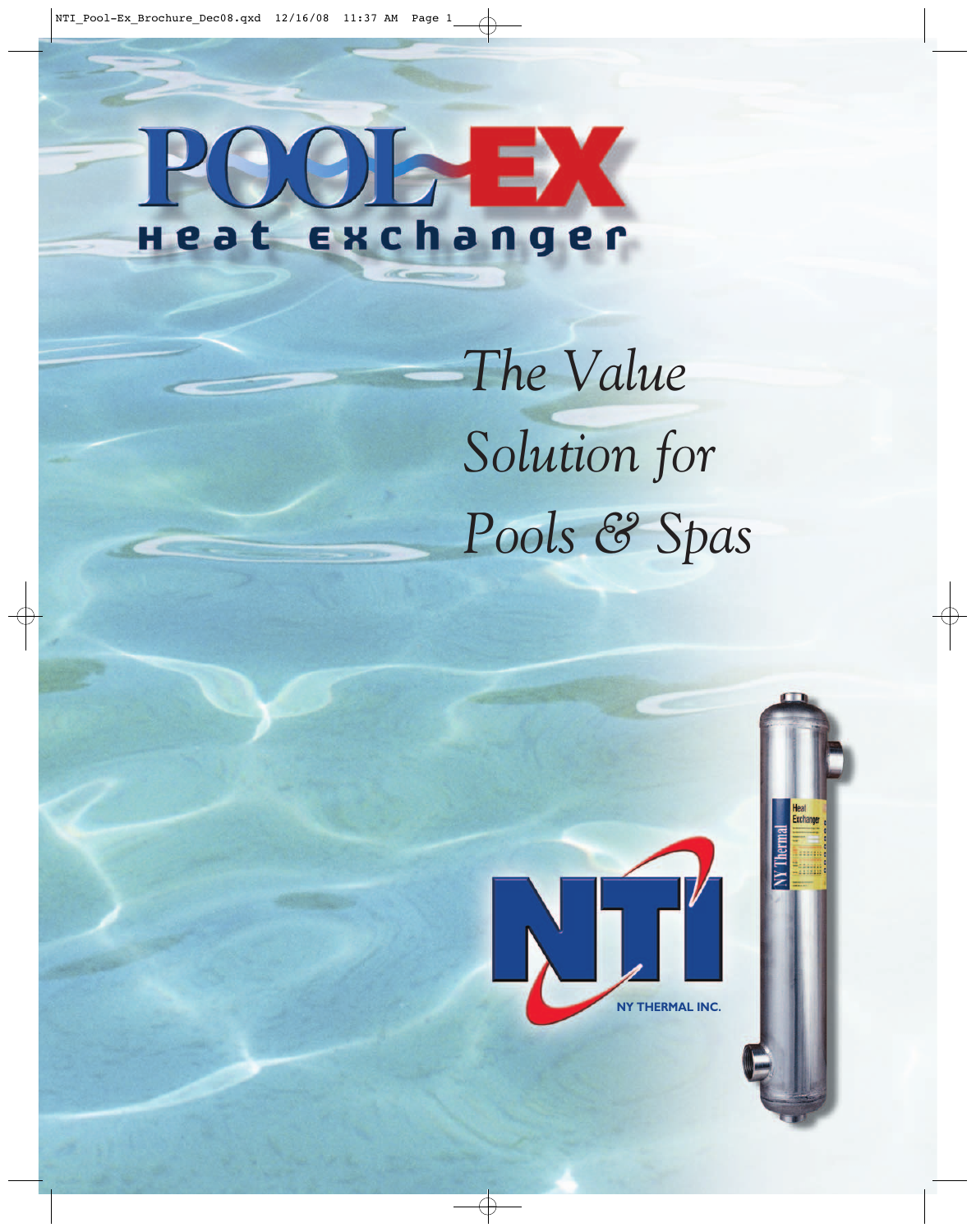### 91  $\blacktriangleright$ exchanger Heat

*The Value Solution for Pools & Spas*